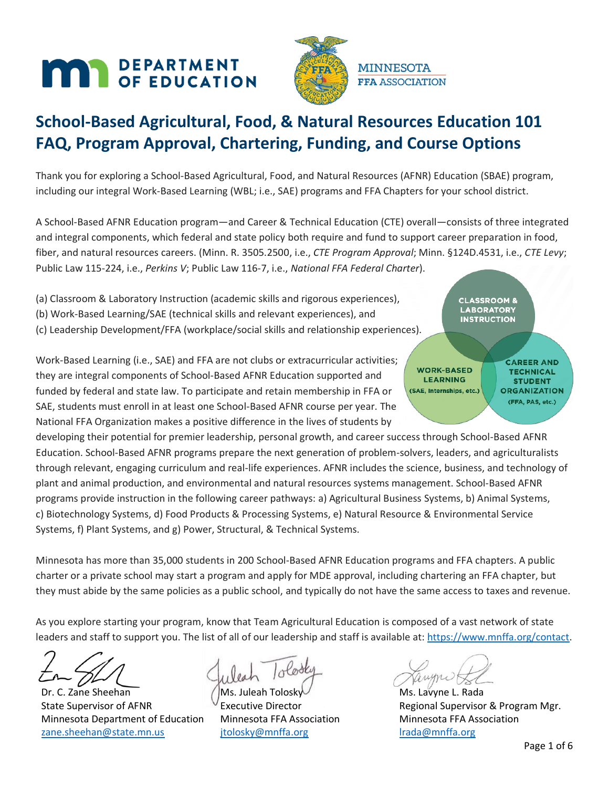# **MAR** DEPARTMENT



## **School-Based Agricultural, Food, & Natural Resources Education 101 FAQ, Program Approval, Chartering, Funding, and Course Options**

Thank you for exploring a School-Based Agricultural, Food, and Natural Resources (AFNR) Education (SBAE) program, including our integral Work-Based Learning (WBL; i.e., SAE) programs and FFA Chapters for your school district.

A School-Based AFNR Education program—and Career & Technical Education (CTE) overall—consists of three integrated and integral components, which federal and state policy both require and fund to support career preparation in food, fiber, and natural resources careers. (Minn. R. 3505.2500, i.e., *CTE Program Approval*; Minn. §124D.4531, i.e., *CTE Levy*; Public Law 115-224, i.e., *Perkins V*; Public Law 116-7, i.e., *National FFA Federal Charter*).

(a) Classroom & Laboratory Instruction (academic skills and rigorous experiences), (b) Work-Based Learning/SAE (technical skills and relevant experiences), and

(c) Leadership Development/FFA (workplace/social skills and relationship experiences).

Work-Based Learning (i.e., SAE) and FFA are not clubs or extracurricular activities; they are integral components of School-Based AFNR Education supported and funded by federal and state law. To participate and retain membership in FFA or SAE, students must enroll in at least one School-Based AFNR course per year. The National FFA Organization makes a positive difference in the lives of students by

developing their potential for premier leadership, personal growth, and career success through School-Based AFNR Education. School-Based AFNR programs prepare the next generation of problem-solvers, leaders, and agriculturalists through relevant, engaging curriculum and real-life experiences. AFNR includes the science, business, and technology of plant and animal production, and environmental and natural resources systems management. School-Based AFNR programs provide instruction in the following career pathways: a) Agricultural Business Systems, b) Animal Systems, c) Biotechnology Systems, d) Food Products & Processing Systems, e) Natural Resource & Environmental Service Systems, f) Plant Systems, and g) Power, Structural, & Technical Systems.

Minnesota has more than 35,000 students in 200 School-Based AFNR Education programs and FFA chapters. A public charter or a private school may start a program and apply for MDE approval, including chartering an FFA chapter, but they must abide by the same policies as a public school, and typically do not have the same access to taxes and revenue.

As you explore starting your program, know that Team Agricultural Education is composed of a vast network of state leaders and staff to support you. The list of all of our leadership and staff is available at[: https://www.mnffa.org/contact.](https://www.mnffa.org/contact)

Dr. C. Zane Sheehan State Supervisor of AFNR Minnesota Department of Education [zane.sheehan@state.mn.us](mailto:zane.sheehan@state.mn.us)

Ms. Juleah Tolosk

Executive Director Minnesota FFA Association [jtolosky@mnffa.org](mailto:jtolosky@mnffa.org)

Ms. Lavyne L. Rada Regional Supervisor & Program Mgr. Minnesota FFA Association [lrada@mnffa.org](mailto:lrada@mnffa.org)

**CLASSROOM & LABORATORY INSTRUCTION** 

**WORK-BASED** 

**LEARNING** 

(SAE, Internships, etc.)

**CAREER AND** 

**TECHNICAL** 

**STUDENT** 

**ORGANIZATION** (FFA, PAS, etc.)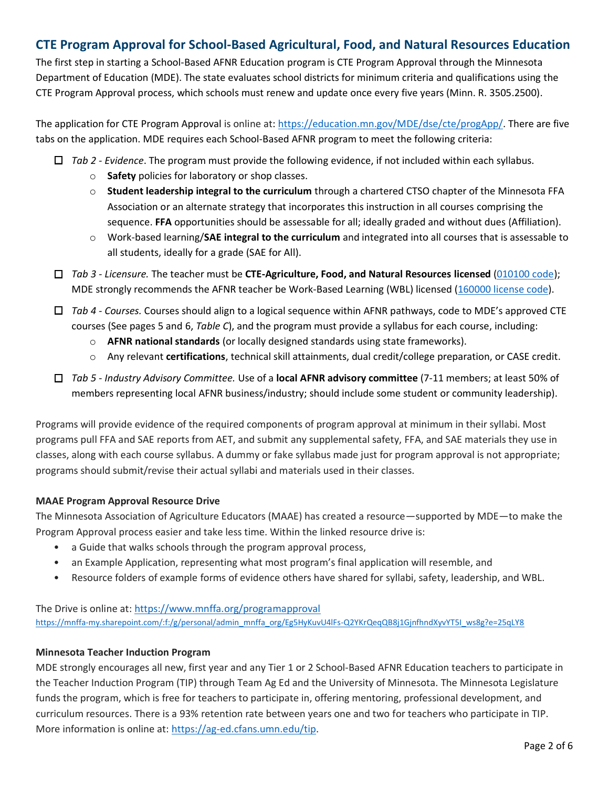## **CTE Program Approval for School-Based Agricultural, Food, and Natural Resources Education**

The first step in starting a School-Based AFNR Education program is CTE Program Approval through the Minnesota Department of Education (MDE). The state evaluates school districts for minimum criteria and qualifications using the CTE Program Approval process, which schools must renew and update once every five years (Minn. R. 3505.2500).

The application for CTE Program Approval is online at[: https://education.mn.gov/MDE/dse/cte/progApp/.](https://education.mn.gov/MDE/dse/cte/progApp/) There are five tabs on the application. MDE requires each School-Based AFNR program to meet the following criteria:

- *Tab 2 - Evidence*. The program must provide the following evidence, if not included within each syllabus.
	- o **Safety** policies for laboratory or shop classes.
	- o **Student leadership integral to the curriculum** through a chartered CTSO chapter of the Minnesota FFA Association or an alternate strategy that incorporates this instruction in all courses comprising the sequence. **FFA** opportunities should be assessable for all; ideally graded and without dues (Affiliation).
	- o Work-based learning/**SAE integral to the curriculum** and integrated into all courses that is assessable to all students, ideally for a grade (SAE for All).
- *Tab 3 - Licensure.* The teacher must be **CTE-Agriculture, Food, and Natural Resources licensed** [\(010100](https://mn.gov/pelsb/assets/Agricultural%20Education%20_%20Accessible%2012_2015_tcm1113-324464.docx) code); MDE strongly recommends the AFNR teacher be Work-Based Learning (WBL) licensed (160000 [license code\)](https://mn.gov/pelsb/assets/Teacher%20Coordinators%20of%20Work-Based%20Learning_tcm1113-324535.docx).
- *Tab 4 - Courses.* Courses should align to a logical sequence within AFNR pathways, code to MDE's approved CTE courses (See pages 5 and 6, *Table C*), and the program must provide a syllabus for each course, including:
	- o **AFNR national standards** (or locally designed standards using state frameworks).
	- o Any relevant **certifications**, technical skill attainments, dual credit/college preparation, or CASE credit.
- *Tab 5 - Industry Advisory Committee.* Use of a **local AFNR advisory committee** (7-11 members; at least 50% of members representing local AFNR business/industry; should include some student or community leadership).

Programs will provide evidence of the required components of program approval at minimum in their syllabi. Most programs pull FFA and SAE reports from AET, and submit any supplemental safety, FFA, and SAE materials they use in classes, along with each course syllabus. A dummy or fake syllabus made just for program approval is not appropriate; programs should submit/revise their actual syllabi and materials used in their classes.

#### **MAAE Program Approval Resource Drive**

The Minnesota Association of Agriculture Educators (MAAE) has created a resource—supported by MDE—to make the Program Approval process easier and take less time. Within the linked resource drive is:

- a Guide that walks schools through the program approval process,
- an Example Application, representing what most program's final application will resemble, and
- Resource folders of example forms of evidence others have shared for syllabi, safety, leadership, and WBL.

#### The Drive is online at: <https://www.mnffa.org/programapproval> [https://mnffa-my.sharepoint.com/:f:/g/personal/admin\\_mnffa\\_org/Eg5HyKuvU4lFs-Q2YKrQeqQB8j1GjnfhndXyvYT5I\\_ws8g?e=25qLY8](https://mnffa-my.sharepoint.com/:f:/g/personal/admin_mnffa_org/Eg5HyKuvU4lFs-Q2YKrQeqQB8j1GjnfhndXyvYT5I_ws8g?e=25qLY8)

#### **Minnesota Teacher Induction Program**

MDE strongly encourages all new, first year and any Tier 1 or 2 School-Based AFNR Education teachers to participate in the Teacher Induction Program (TIP) through Team Ag Ed and the University of Minnesota. The Minnesota Legislature funds the program, which is free for teachers to participate in, offering mentoring, professional development, and curriculum resources. There is a 93% retention rate between years one and two for teachers who participate in TIP. More information is online at: [https://ag-ed.cfans.umn.edu/tip.](https://ag-ed.cfans.umn.edu/tip)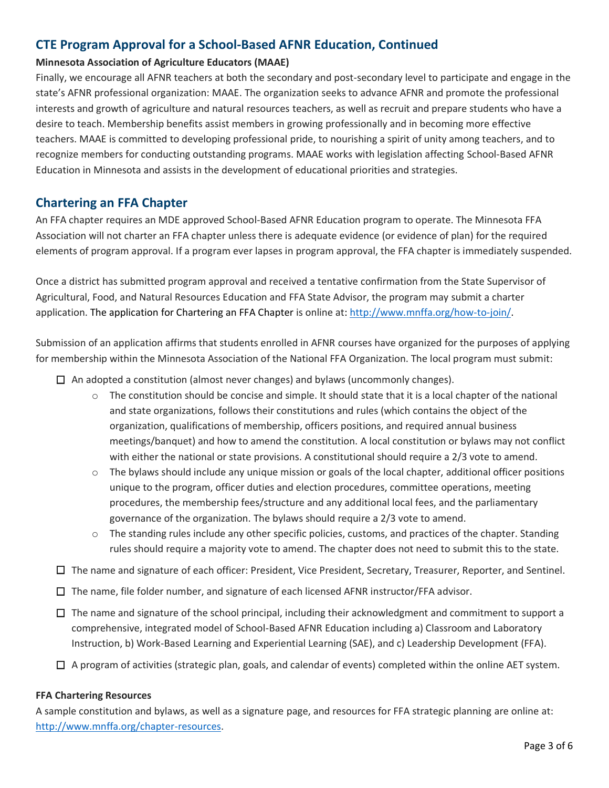## **CTE Program Approval for a School-Based AFNR Education, Continued**

#### **Minnesota Association of Agriculture Educators (MAAE)**

Finally, we encourage all AFNR teachers at both the secondary and post-secondary level to participate and engage in the state's AFNR professional organization: MAAE. The organization seeks to advance AFNR and promote the professional interests and growth of agriculture and natural resources teachers, as well as recruit and prepare students who have a desire to teach. Membership benefits assist members in growing professionally and in becoming more effective teachers. MAAE is committed to developing professional pride, to nourishing a spirit of unity among teachers, and to recognize members for conducting outstanding programs. MAAE works with legislation affecting School-Based AFNR Education in Minnesota and assists in the development of educational priorities and strategies.

### **Chartering an FFA Chapter**

An FFA chapter requires an MDE approved School-Based AFNR Education program to operate. The Minnesota FFA Association will not charter an FFA chapter unless there is adequate evidence (or evidence of plan) for the required elements of program approval. If a program ever lapses in program approval, the FFA chapter is immediately suspended.

Once a district has submitted program approval and received a tentative confirmation from the State Supervisor of Agricultural, Food, and Natural Resources Education and FFA State Advisor, the program may submit a charter application. The application for Chartering an FFA Chapter is online at: [http://www.mnffa.org/how-to-join/.](http://www.mnffa.org/how-to-join/)

Submission of an application affirms that students enrolled in AFNR courses have organized for the purposes of applying for membership within the Minnesota Association of the National FFA Organization. The local program must submit:

- $\Box$  An adopted a constitution (almost never changes) and bylaws (uncommonly changes).
	- $\circ$  The constitution should be concise and simple. It should state that it is a local chapter of the national and state organizations, follows their constitutions and rules (which contains the object of the organization, qualifications of membership, officers positions, and required annual business meetings/banquet) and how to amend the constitution. A local constitution or bylaws may not conflict with either the national or state provisions. A constitutional should require a 2/3 vote to amend.
	- $\circ$  The bylaws should include any unique mission or goals of the local chapter, additional officer positions unique to the program, officer duties and election procedures, committee operations, meeting procedures, the membership fees/structure and any additional local fees, and the parliamentary governance of the organization. The bylaws should require a 2/3 vote to amend.
	- o The standing rules include any other specific policies, customs, and practices of the chapter. Standing rules should require a majority vote to amend. The chapter does not need to submit this to the state.
- $\Box$  The name and signature of each officer: President, Vice President, Secretary, Treasurer, Reporter, and Sentinel.
- $\Box$  The name, file folder number, and signature of each licensed AFNR instructor/FFA advisor.
- $\Box$  The name and signature of the school principal, including their acknowledgment and commitment to support a comprehensive, integrated model of School-Based AFNR Education including a) Classroom and Laboratory Instruction, b) Work-Based Learning and Experiential Learning (SAE), and c) Leadership Development (FFA).
- $\Box$  A program of activities (strategic plan, goals, and calendar of events) completed within the online AET system.

#### **FFA Chartering Resources**

A sample constitution and bylaws, as well as a signature page, and resources for FFA strategic planning are online at: [http://www.mnffa.org/chapter-resources.](http://www.mnffa.org/chapter-resources)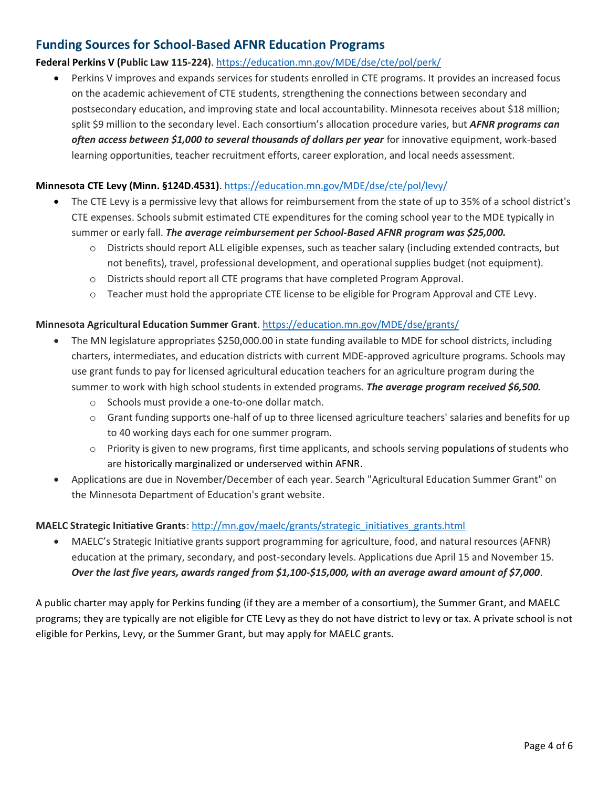## **Funding Sources for School-Based AFNR Education Programs**

#### **Federal Perkins V (Public Law 115-224)**. <https://education.mn.gov/MDE/dse/cte/pol/perk/>

• Perkins V improves and expands services for students enrolled in CTE programs. It provides an increased focus on the academic achievement of CTE students, strengthening the connections between secondary and postsecondary education, and improving state and local accountability. Minnesota receives about \$18 million; split \$9 million to the secondary level. Each consortium's allocation procedure varies, but *AFNR programs can often access between \$1,000 to several thousands of dollars per year* for innovative equipment, work-based learning opportunities, teacher recruitment efforts, career exploration, and local needs assessment.

#### **Minnesota CTE Levy (Minn. §124D.4531)**. <https://education.mn.gov/MDE/dse/cte/pol/levy/>

- The CTE Levy is a permissive levy that allows for reimbursement from the state of up to 35% of a school district's CTE expenses. Schools submit estimated CTE expenditures for the coming school year to the MDE typically in summer or early fall. *The average reimbursement per School-Based AFNR program was \$25,000.*
	- o Districts should report ALL eligible expenses, such as teacher salary (including extended contracts, but not benefits), travel, professional development, and operational supplies budget (not equipment).
	- o Districts should report all CTE programs that have completed Program Approval.
	- o Teacher must hold the appropriate CTE license to be eligible for Program Approval and CTE Levy.

#### **Minnesota Agricultural Education Summer Grant**. <https://education.mn.gov/MDE/dse/grants/>

- The MN legislature appropriates \$250,000.00 in state funding available to MDE for school districts, including charters, intermediates, and education districts with current MDE-approved agriculture programs. Schools may use grant funds to pay for licensed agricultural education teachers for an agriculture program during the summer to work with high school students in extended programs. *The average program received \$6,500.*
	- o Schools must provide a one-to-one dollar match.
	- $\circ$  Grant funding supports one-half of up to three licensed agriculture teachers' salaries and benefits for up to 40 working days each for one summer program.
	- o Priority is given to new programs, first time applicants, and schools serving populations of students who are historically marginalized or underserved within AFNR.
- Applications are due in November/December of each year. Search "Agricultural Education Summer Grant" on the Minnesota Department of Education's grant website.

#### **MAELC Strategic Initiative Grants**: [http://mn.gov/maelc/grants/strategic\\_initiatives\\_grants.html](http://mn.gov/maelc/grants/strategic_initiatives_grants.html)

• MAELC's Strategic Initiative grants support programming for agriculture, food, and natural resources (AFNR) education at the primary, secondary, and post-secondary levels. Applications due April 15 and November 15. *Over the last five years, awards ranged from \$1,100-\$15,000, with an average award amount of \$7,000*.

A public charter may apply for Perkins funding (if they are a member of a consortium), the Summer Grant, and MAELC programs; they are typically are not eligible for CTE Levy as they do not have district to levy or tax. A private school is not eligible for Perkins, Levy, or the Summer Grant, but may apply for MAELC grants.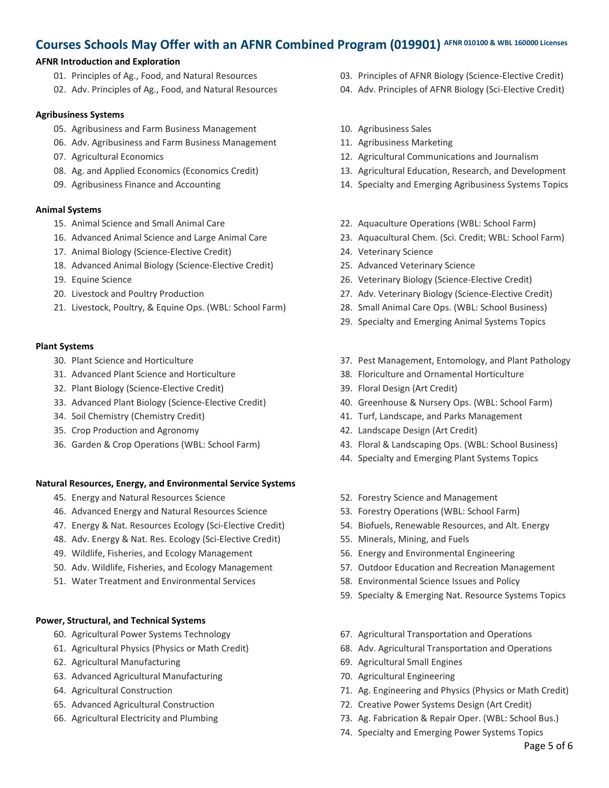## **Courses Schools May Offer with an AFNR Combined Program (019901) AFNR 010100 & WBL 160000 Licenses**

#### **AFNR Introduction and Exploration**

- 01. Principles of Ag., Food, and Natural Resources
- 02. Adv. Principles of Ag., Food, and Natural Resources

#### **Agribusiness Systems**

- 05. Agribusiness and Farm Business Management
- 06. Adv. Agribusiness and Farm Business Management
- 07. Agricultural Economics
- 08. Ag. and Applied Economics (Economics Credit)
- 09. Agribusiness Finance and Accounting

#### **Animal Systems**

- 15. Animal Science and Small Animal Care
- 16. Advanced Animal Science and Large Animal Care
- 17. Animal Biology (Science-Elective Credit)
- 18. Advanced Animal Biology (Science-Elective Credit)
- 19. Equine Science
- 20. Livestock and Poultry Production
- 21. Livestock, Poultry, & Equine Ops. (WBL: School Farm)

#### **Plant Systems**

- 30. Plant Science and Horticulture
- 31. Advanced Plant Science and Horticulture
- 32. Plant Biology (Science-Elective Credit)
- 33. Advanced Plant Biology (Science-Elective Credit)
- 34. Soil Chemistry (Chemistry Credit)
- 35. Crop Production and Agronomy
- 36. Garden & Crop Operations (WBL: School Farm)

#### **Natural Resources, Energy, and Environmental Service Systems**

- 45. Energy and Natural Resources Science
- 46. Advanced Energy and Natural Resources Science
- 47. Energy & Nat. Resources Ecology (Sci-Elective Credit)
- 48. Adv. Energy & Nat. Res. Ecology (Sci-Elective Credit)
- 49. Wildlife, Fisheries, and Ecology Management
- 50. Adv. Wildlife, Fisheries, and Ecology Management
- 51. Water Treatment and Environmental Services

#### **Power, Structural, and Technical Systems**

- 60. Agricultural Power Systems Technology
- 61. Agricultural Physics (Physics or Math Credit)
- 62. Agricultural Manufacturing
- 63. Advanced Agricultural Manufacturing
- 64. Agricultural Construction
- 65. Advanced Agricultural Construction
- 66. Agricultural Electricity and Plumbing
- 03. Principles of AFNR Biology (Science-Elective Credit)
- 04. Adv. Principles of AFNR Biology (Sci-Elective Credit)
- 10. Agribusiness Sales
- 11. Agribusiness Marketing
- 12. Agricultural Communications and Journalism
- 13. Agricultural Education, Research, and Development
- 14. Specialty and Emerging Agribusiness Systems Topics
- 22. Aquaculture Operations (WBL: School Farm)
- 23. Aquacultural Chem. (Sci. Credit; WBL: School Farm)
- 24. Veterinary Science
- 25. Advanced Veterinary Science
- 26. Veterinary Biology (Science-Elective Credit)
- 27. Adv. Veterinary Biology (Science-Elective Credit)
- 28. Small Animal Care Ops. (WBL: School Business)
- 29. Specialty and Emerging Animal Systems Topics
- 37. Pest Management, Entomology, and Plant Pathology
- 38. Floriculture and Ornamental Horticulture
- 39. Floral Design (Art Credit)
- 40. Greenhouse & Nursery Ops. (WBL: School Farm)
- 41. Turf, Landscape, and Parks Management
- 42. Landscape Design (Art Credit)
- 43. Floral & Landscaping Ops. (WBL: School Business)
- 44. Specialty and Emerging Plant Systems Topics
- 52. Forestry Science and Management
- 53. Forestry Operations (WBL: School Farm)
- 54. Biofuels, Renewable Resources, and Alt. Energy
- 55. Minerals, Mining, and Fuels
- 56. Energy and Environmental Engineering
- 57. Outdoor Education and Recreation Management
- 58. Environmental Science Issues and Policy
- 59. Specialty & Emerging Nat. Resource Systems Topics
- 67. Agricultural Transportation and Operations
- 68. Adv. Agricultural Transportation and Operations
- 69. Agricultural Small Engines
- 70. Agricultural Engineering
- 71. Ag. Engineering and Physics (Physics or Math Credit)
- 72. Creative Power Systems Design (Art Credit)
- 73. Ag. Fabrication & Repair Oper. (WBL: School Bus.)
- 74. Specialty and Emerging Power Systems Topics